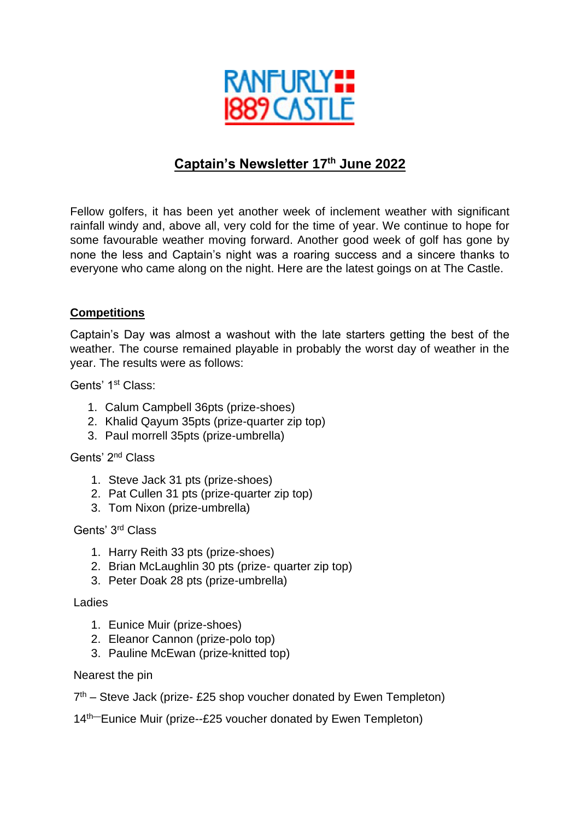

# **Captain's Newsletter 17th June 2022**

Fellow golfers, it has been yet another week of inclement weather with significant rainfall windy and, above all, very cold for the time of year. We continue to hope for some favourable weather moving forward. Another good week of golf has gone by none the less and Captain's night was a roaring success and a sincere thanks to everyone who came along on the night. Here are the latest goings on at The Castle.

### **Competitions**

Captain's Day was almost a washout with the late starters getting the best of the weather. The course remained playable in probably the worst day of weather in the year. The results were as follows:

Gents' 1st Class:

- 1. Calum Campbell 36pts (prize-shoes)
- 2. Khalid Qayum 35pts (prize-quarter zip top)
- 3. Paul morrell 35pts (prize-umbrella)

Gents' 2nd Class

- 1. Steve Jack 31 pts (prize-shoes)
- 2. Pat Cullen 31 pts (prize-quarter zip top)
- 3. Tom Nixon (prize-umbrella)

Gents' 3rd Class

- 1. Harry Reith 33 pts (prize-shoes)
- 2. Brian McLaughlin 30 pts (prize- quarter zip top)
- 3. Peter Doak 28 pts (prize-umbrella)

Ladies

- 1. Eunice Muir (prize-shoes)
- 2. Eleanor Cannon (prize-polo top)
- 3. Pauline McEwan (prize-knitted top)

#### Nearest the pin

7<sup>th</sup> – Steve Jack (prize- £25 shop voucher donated by Ewen Templeton)

14th—Eunice Muir (prize--£25 voucher donated by Ewen Templeton)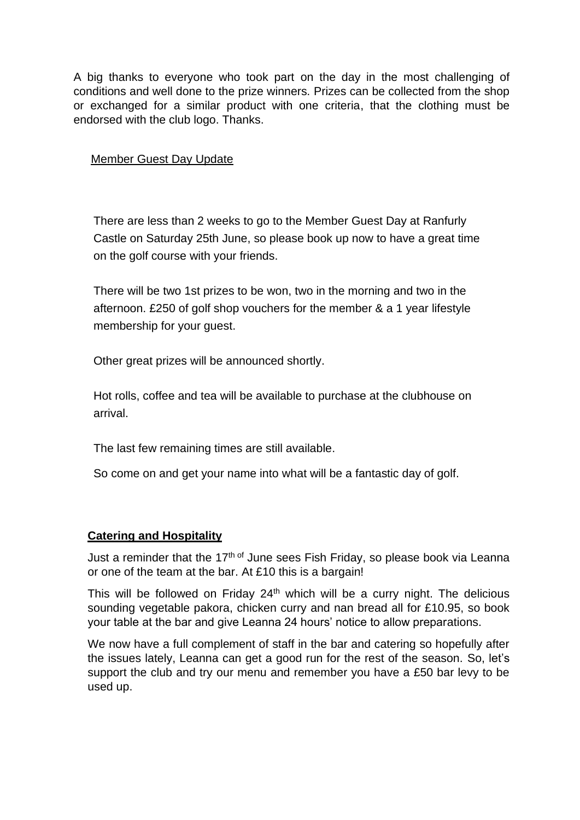A big thanks to everyone who took part on the day in the most challenging of conditions and well done to the prize winners. Prizes can be collected from the shop or exchanged for a similar product with one criteria, that the clothing must be endorsed with the club logo. Thanks.

#### Member Guest Day Update

There are less than 2 weeks to go to the Member Guest Day at Ranfurly Castle on Saturday 25th June, so please book up now to have a great time on the golf course with your friends.

There will be two 1st prizes to be won, two in the morning and two in the afternoon. £250 of golf shop vouchers for the member & a 1 year lifestyle membership for your guest.

Other great prizes will be announced shortly.

Hot rolls, coffee and tea will be available to purchase at the clubhouse on arrival.

The last few remaining times are still available.

So come on and get your name into what will be a fantastic day of golf.

### **Catering and Hospitality**

Just a reminder that the 17<sup>th of</sup> June sees Fish Friday, so please book via Leanna or one of the team at the bar. At £10 this is a bargain!

This will be followed on Friday  $24<sup>th</sup>$  which will be a curry night. The delicious sounding vegetable pakora, chicken curry and nan bread all for £10.95, so book your table at the bar and give Leanna 24 hours' notice to allow preparations.

We now have a full complement of staff in the bar and catering so hopefully after the issues lately, Leanna can get a good run for the rest of the season. So, let's support the club and try our menu and remember you have a £50 bar levy to be used up.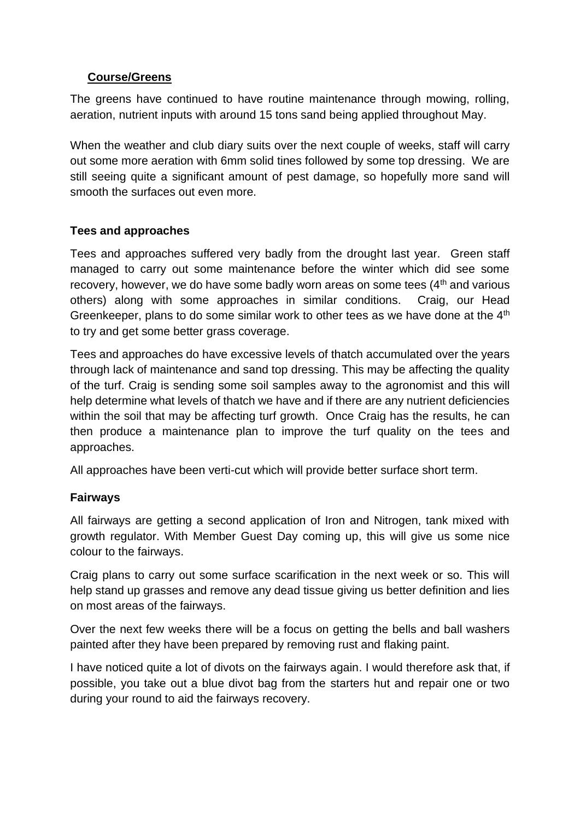### **Course/Greens**

The greens have continued to have routine maintenance through mowing, rolling, aeration, nutrient inputs with around 15 tons sand being applied throughout May.

When the weather and club diary suits over the next couple of weeks, staff will carry out some more aeration with 6mm solid tines followed by some top dressing. We are still seeing quite a significant amount of pest damage, so hopefully more sand will smooth the surfaces out even more.

### **Tees and approaches**

Tees and approaches suffered very badly from the drought last year. Green staff managed to carry out some maintenance before the winter which did see some recovery, however, we do have some badly worn areas on some tees (4<sup>th</sup> and various others) along with some approaches in similar conditions. Craig, our Head Greenkeeper, plans to do some similar work to other tees as we have done at the 4<sup>th</sup> to try and get some better grass coverage.

Tees and approaches do have excessive levels of thatch accumulated over the years through lack of maintenance and sand top dressing. This may be affecting the quality of the turf. Craig is sending some soil samples away to the agronomist and this will help determine what levels of thatch we have and if there are any nutrient deficiencies within the soil that may be affecting turf growth. Once Craig has the results, he can then produce a maintenance plan to improve the turf quality on the tees and approaches.

All approaches have been verti-cut which will provide better surface short term.

### **Fairways**

All fairways are getting a second application of Iron and Nitrogen, tank mixed with growth regulator. With Member Guest Day coming up, this will give us some nice colour to the fairways.

Craig plans to carry out some surface scarification in the next week or so. This will help stand up grasses and remove any dead tissue giving us better definition and lies on most areas of the fairways.

Over the next few weeks there will be a focus on getting the bells and ball washers painted after they have been prepared by removing rust and flaking paint.

I have noticed quite a lot of divots on the fairways again. I would therefore ask that, if possible, you take out a blue divot bag from the starters hut and repair one or two during your round to aid the fairways recovery.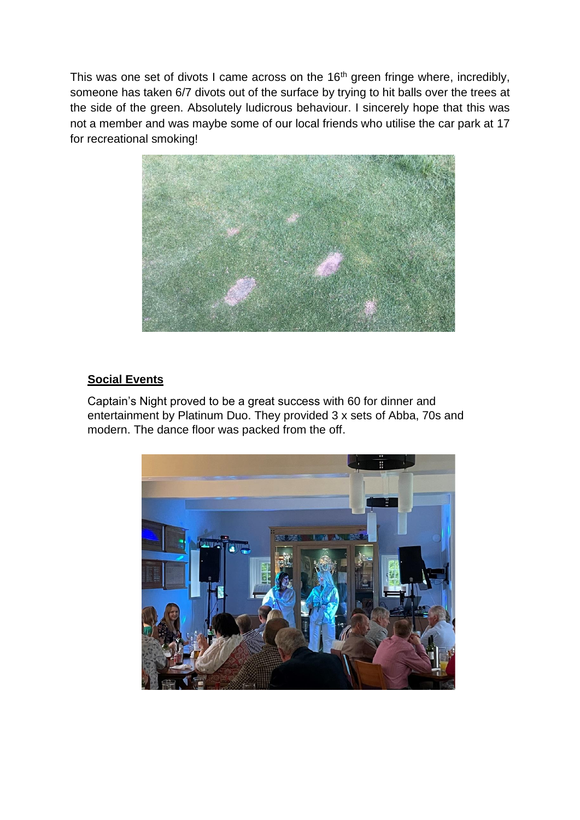This was one set of divots I came across on the 16<sup>th</sup> green fringe where, incredibly, someone has taken 6/7 divots out of the surface by trying to hit balls over the trees at the side of the green. Absolutely ludicrous behaviour. I sincerely hope that this was not a member and was maybe some of our local friends who utilise the car park at 17 for recreational smoking!



## **Social Events**

Captain's Night proved to be a great success with 60 for dinner and entertainment by Platinum Duo. They provided 3 x sets of Abba, 70s and modern. The dance floor was packed from the off.

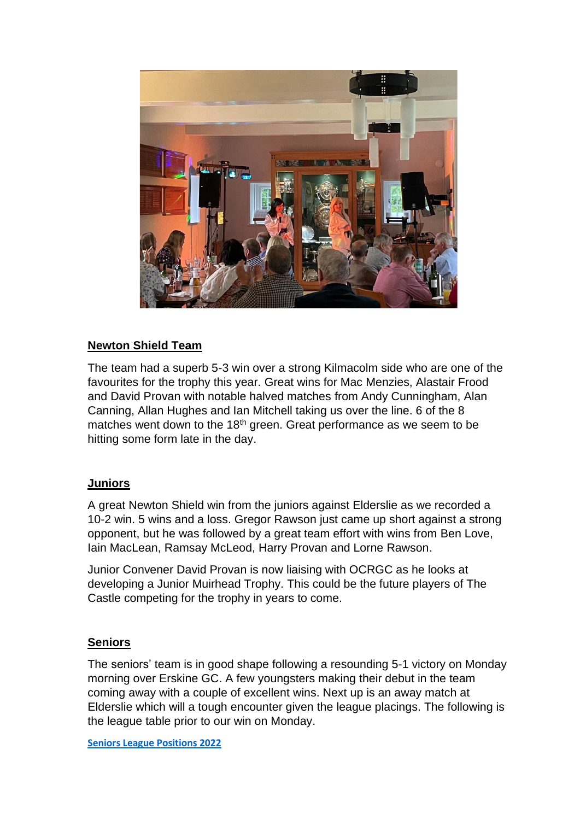

### **Newton Shield Team**

The team had a superb 5-3 win over a strong Kilmacolm side who are one of the favourites for the trophy this year. Great wins for Mac Menzies, Alastair Frood and David Provan with notable halved matches from Andy Cunningham, Alan Canning, Allan Hughes and Ian Mitchell taking us over the line. 6 of the 8 matches went down to the 18<sup>th</sup> green. Great performance as we seem to be hitting some form late in the day.

### **Juniors**

A great Newton Shield win from the juniors against Elderslie as we recorded a 10-2 win. 5 wins and a loss. Gregor Rawson just came up short against a strong opponent, but he was followed by a great team effort with wins from Ben Love, Iain MacLean, Ramsay McLeod, Harry Provan and Lorne Rawson.

Junior Convener David Provan is now liaising with OCRGC as he looks at developing a Junior Muirhead Trophy. This could be the future players of The Castle competing for the trophy in years to come.

### **Seniors**

The seniors' team is in good shape following a resounding 5-1 victory on Monday morning over Erskine GC. A few youngsters making their debut in the team coming away with a couple of excellent wins. Next up is an away match at Elderslie which will a tough encounter given the league placings. The following is the league table prior to our win on Monday.

**[Seniors League Positions 2022](https://www.ranfurlycastlegolfclub.co.uk/uploads/document/renfrewshire-seniors-golf-league.pdf)**